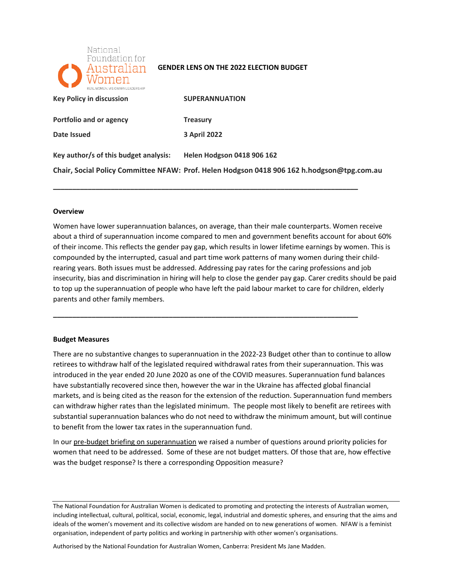

#### **GENDER LENS ON THE 2022 ELECTION BUDGET**

| REAL WOMEN VISIONARYLEADERSHIP        |                                                                                            |
|---------------------------------------|--------------------------------------------------------------------------------------------|
| <b>Key Policy in discussion</b>       | <b>SUPERANNUATION</b>                                                                      |
| Portfolio and or agency               | <b>Treasury</b>                                                                            |
| Date Issued                           | <b>3 April 2022</b>                                                                        |
| Key author/s of this budget analysis: | <b>Helen Hodgson 0418 906 162</b>                                                          |
|                                       | Chair, Social Policy Committee NFAW: Prof. Helen Hodgson 0418 906 162 h.hodgson@tpg.com.au |

**\_\_\_\_\_\_\_\_\_\_\_\_\_\_\_\_\_\_\_\_\_\_\_\_\_\_\_\_\_\_\_\_\_\_\_\_\_\_\_\_\_\_\_\_\_\_\_\_\_\_\_\_\_\_\_\_\_\_\_\_\_\_\_\_\_\_\_\_\_\_\_\_\_\_\_\_\_\_\_** 

**\_\_\_\_\_\_\_\_\_\_\_\_\_\_\_\_\_\_\_\_\_\_\_\_\_\_\_\_\_\_\_\_\_\_\_\_\_\_\_\_\_\_\_\_\_\_\_\_\_\_\_\_\_\_\_\_\_\_\_\_\_\_\_\_\_\_\_\_\_\_\_\_\_\_\_\_\_\_\_** 

#### **Overview**

 Women have lower superannuation balances, on average, than their male counterparts. Women receive about a third of superannuation income compared to men and government benefits account for about 60% of their income. This reflects the gender pay gap, which results in lower lifetime earnings by women. This is rearing years. Both issues must be addressed. Addressing pay rates for the caring professions and job insecurity, bias and discrimination in hiring will help to close the gender pay gap. Carer credits should be paid to top up the superannuation of people who have left the paid labour market to care for children, elderly parents and other family members. compounded by the interrupted, casual and part time work patterns of many women during their child-

#### **Budget Measures**

 There are no substantive changes to superannuation in the 2022-23 Budget other than to continue to allow retirees to withdraw half of the legislated required withdrawal rates from their superannuation. This was introduced in the year ended 20 June 2020 as one of the COVID measures. Superannuation fund balances have substantially recovered since then, however the war in the Ukraine has affected global financial markets, and is being cited as the reason for the extension of the reduction. Superannuation fund members can withdraw higher rates than the legislated minimum. The people most likely to benefit are retirees with substantial superannuation balances who do not need to withdraw the minimum amount, but will continue to benefit from the lower tax rates in the superannuation fund.

In our pre-budget briefing on superannuation we raised a number of questions around priority policies for women that need to be addressed. Some of these are not budget matters. Of those that are, how effective was the budget response? Is there a corresponding Opposition measure?

The National Foundation for Australian Women is dedicated to promoting and protecting the interests of Australian women, including intellectual, cultural, political, social, economic, legal, industrial and domestic spheres, and ensuring that the aims and ideals of the women's movement and its collective wisdom are handed on to new generations of women. NFAW is a feminist organisation, independent of party politics and working in partnership with other women's organisations.

Authorised by the National Foundation for Australian Women, Canberra: President Ms Jane Madden.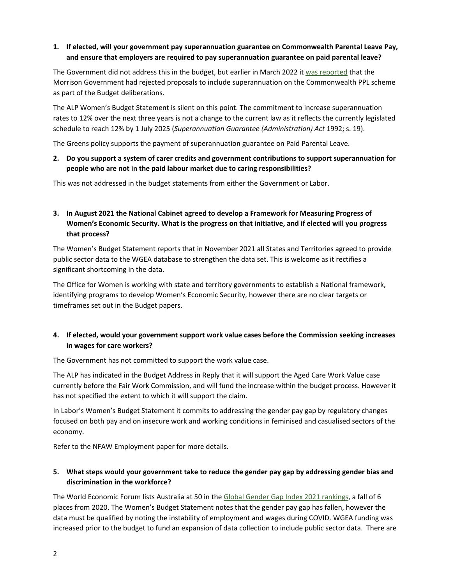# **1. If elected, will your government pay superannuation guarantee on Commonwealth Parental Leave Pay, and ensure that employers are required to pay superannuation guarantee on paid parental leave?**

The Government did not address this in the budget, but earlier in March 2022 it [was reported](https://www.smh.com.au/politics/federal/government-rejects-plan-to-help-mums-get-super-on-paid-parental-leave-20220218-p59xm4.html) that the Morrison Government had rejected proposals to include superannuation on the Commonwealth PPL scheme as part of the Budget deliberations.

 The ALP Women's Budget Statement is silent on this point. The commitment to increase superannuation rates to 12% over the next three years is not a change to the current law as it reflects the currently legislated schedule to reach 12% by 1 July 2025 (*Superannuation Guarantee (Administration) Act* 1992; s. 19).

The Greens policy supports the payment of superannuation guarantee on Paid Parental Leave.

## **2. Do you support a system of carer credits and government contributions to support superannuation for people who are not in the paid labour market due to caring responsibilities?**

This was not addressed in the budget statements from either the Government or Labor.

# **3. In August 2021 the National Cabinet agreed to develop a Framework for Measuring Progress of Women's Economic Security. What is the progress on that initiative, and if elected will you progress that process?**

 The Women's Budget Statement reports that in November 2021 all States and Territories agreed to provide public sector data to the WGEA database to strengthen the data set. This is welcome as it rectifies a significant shortcoming in the data.

 The Office for Women is working with state and territory governments to establish a National framework, identifying programs to develop Women's Economic Security, however there are no clear targets or timeframes set out in the Budget papers.

## **4. If elected, would your government support work value cases before the Commission seeking increases in wages for care workers?**

The Government has not committed to support the work value case.

 The ALP has indicated in the Budget Address in Reply that it will support the Aged Care Work Value case currently before the Fair Work Commission, and will fund the increase within the budget process. However it has not specified the extent to which it will support the claim.

 In Labor's Women's Budget Statement it commits to addressing the gender pay gap by regulatory changes focused on both pay and on insecure work and working conditions in feminised and casualised sectors of the economy.

Refer to the NFAW Employment paper for more details.

## **5. What steps would your government take to reduce the gender pay gap by addressing gender bias and discrimination in the workforce?**

The World Economic Forum lists Australia at 50 in the [Global Gender Gap Index 2021 rankings,](https://www3.weforum.org/docs/WEF_GGGR_2021.pdf) a fall of 6 places from 2020. The Women's Budget Statement notes that the gender pay gap has fallen, however the data must be qualified by noting the instability of employment and wages during COVID. WGEA funding was increased prior to the budget to fund an expansion of data collection to include public sector data. There are